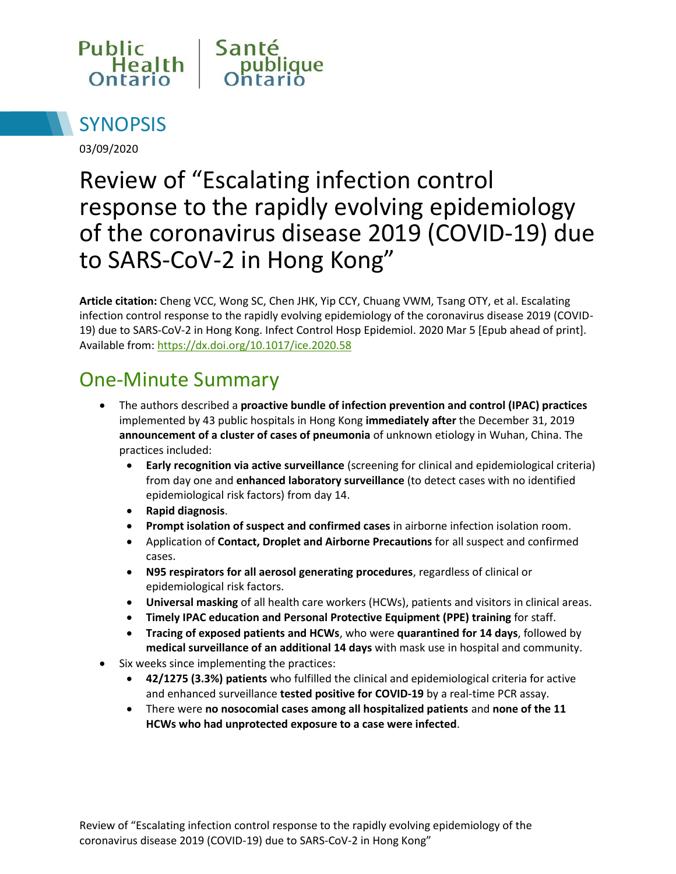



03/09/2020

# Review of "Escalating infection control response to the rapidly evolving epidemiology of the coronavirus disease 2019 (COVID-19) due to SARS-CoV-2 in Hong Kong"

**Article citation:** Cheng VCC, Wong SC, Chen JHK, Yip CCY, Chuang VWM, Tsang OTY, et al. Escalating infection control response to the rapidly evolving epidemiology of the coronavirus disease 2019 (COVID-19) due to SARS-CoV-2 in Hong Kong. Infect Control Hosp Epidemiol. 2020 Mar 5 [Epub ahead of print]. Available from[: https://dx.doi.org/10.1017/ice.2020.58](https://dx.doi.org/10.1017/ice.2020.58)

#### One-Minute Summary

- The authors described a **proactive bundle of infection prevention and control (IPAC) practices**  implemented by 43 public hospitals in Hong Kong **immediately after** the December 31, 2019 **announcement of a cluster of cases of pneumonia** of unknown etiology in Wuhan, China. The practices included:
	- **Early recognition via active surveillance** (screening for clinical and epidemiological criteria) from day one and **enhanced laboratory surveillance** (to detect cases with no identified epidemiological risk factors) from day 14.
	- **Rapid diagnosis**.
	- **Prompt isolation of suspect and confirmed cases** in airborne infection isolation room.
	- Application of **Contact, Droplet and Airborne Precautions** for all suspect and confirmed cases.
	- **N95 respirators for all aerosol generating procedures**, regardless of clinical or epidemiological risk factors.
	- **Universal masking** of all health care workers (HCWs), patients and visitors in clinical areas.
	- **Timely IPAC education and Personal Protective Equipment (PPE) training** for staff.
	- **Tracing of exposed patients and HCWs**, who were **quarantined for 14 days**, followed by **medical surveillance of an additional 14 days** with mask use in hospital and community.
- Six weeks since implementing the practices:
	- **42/1275 (3.3%) patients** who fulfilled the clinical and epidemiological criteria for active and enhanced surveillance **tested positive for COVID-19** by a real-time PCR assay.
	- There were **no nosocomial cases among all hospitalized patients** and **none of the 11 HCWs who had unprotected exposure to a case were infected**.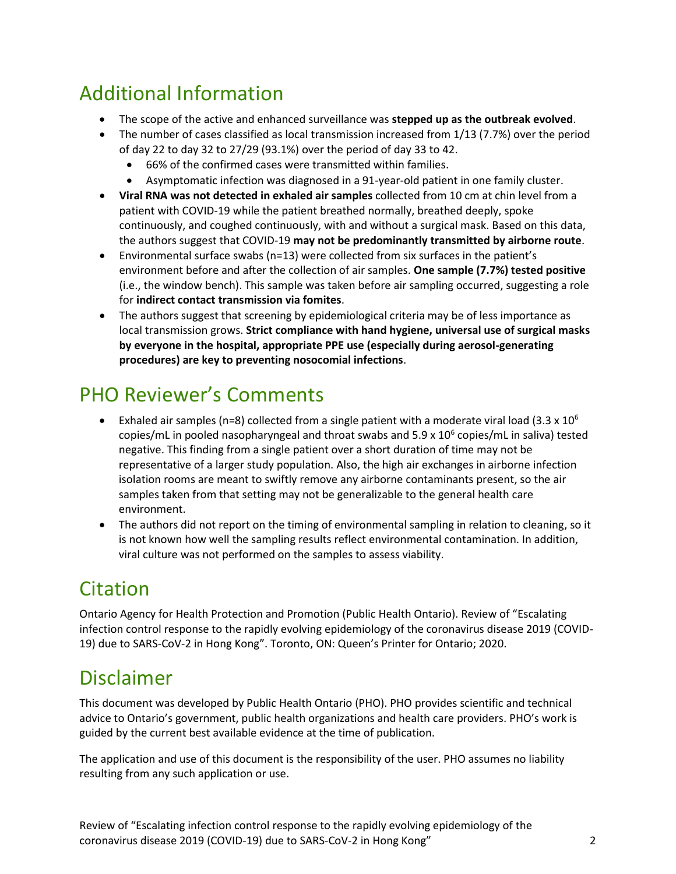### Additional Information

- The scope of the active and enhanced surveillance was **stepped up as the outbreak evolved**.
- The number of cases classified as local transmission increased from 1/13 (7.7%) over the period of day 22 to day 32 to 27/29 (93.1%) over the period of day 33 to 42.
	- 66% of the confirmed cases were transmitted within families.
	- Asymptomatic infection was diagnosed in a 91-year-old patient in one family cluster.
- **Viral RNA was not detected in exhaled air samples** collected from 10 cm at chin level from a patient with COVID-19 while the patient breathed normally, breathed deeply, spoke continuously, and coughed continuously, with and without a surgical mask. Based on this data, the authors suggest that COVID-19 **may not be predominantly transmitted by airborne route**.
- **Environmental surface swabs (n=13) were collected from six surfaces in the patient's** environment before and after the collection of air samples. **One sample (7.7%) tested positive**  (i.e., the window bench). This sample was taken before air sampling occurred, suggesting a role for **indirect contact transmission via fomites**.
- The authors suggest that screening by epidemiological criteria may be of less importance as local transmission grows. **Strict compliance with hand hygiene, universal use of surgical masks by everyone in the hospital, appropriate PPE use (especially during aerosol-generating procedures) are key to preventing nosocomial infections**.

## PHO Reviewer's Comments

- Exhaled air samples (n=8) collected from a single patient with a moderate viral load (3.3 x 10<sup>6</sup>) copies/mL in pooled nasopharyngeal and throat swabs and 5.9 x  $10^6$  copies/mL in saliva) tested negative. This finding from a single patient over a short duration of time may not be representative of a larger study population. Also, the high air exchanges in airborne infection isolation rooms are meant to swiftly remove any airborne contaminants present, so the air samples taken from that setting may not be generalizable to the general health care environment.
- The authors did not report on the timing of environmental sampling in relation to cleaning, so it is not known how well the sampling results reflect environmental contamination. In addition, viral culture was not performed on the samples to assess viability.

## Citation

Ontario Agency for Health Protection and Promotion (Public Health Ontario). Review of "Escalating infection control response to the rapidly evolving epidemiology of the coronavirus disease 2019 (COVID-19) due to SARS-CoV-2 in Hong Kong". Toronto, ON: Queen's Printer for Ontario; 2020.

#### Disclaimer

This document was developed by Public Health Ontario (PHO). PHO provides scientific and technical advice to Ontario's government, public health organizations and health care providers. PHO's work is guided by the current best available evidence at the time of publication.

The application and use of this document is the responsibility of the user. PHO assumes no liability resulting from any such application or use.